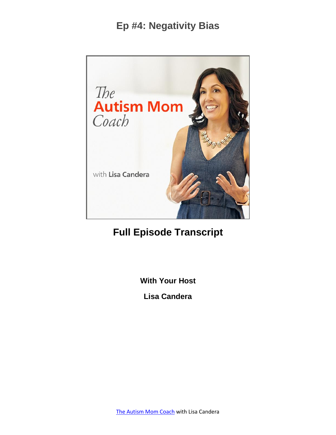

# **Full Episode Transcript**

**With Your Host**

**Lisa Candera**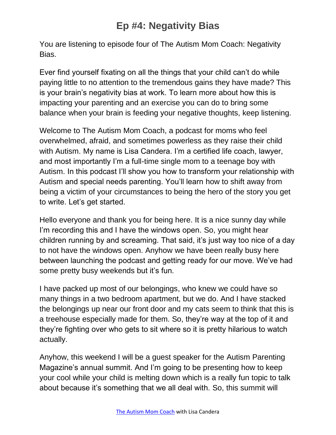You are listening to episode four of The Autism Mom Coach: Negativity Bias.

Ever find yourself fixating on all the things that your child can't do while paying little to no attention to the tremendous gains they have made? This is your brain's negativity bias at work. To learn more about how this is impacting your parenting and an exercise you can do to bring some balance when your brain is feeding your negative thoughts, keep listening.

Welcome to The Autism Mom Coach, a podcast for moms who feel overwhelmed, afraid, and sometimes powerless as they raise their child with Autism. My name is Lisa Candera. I'm a certified life coach, lawyer, and most importantly I'm a full-time single mom to a teenage boy with Autism. In this podcast I'll show you how to transform your relationship with Autism and special needs parenting. You'll learn how to shift away from being a victim of your circumstances to being the hero of the story you get to write. Let's get started.

Hello everyone and thank you for being here. It is a nice sunny day while I'm recording this and I have the windows open. So, you might hear children running by and screaming. That said, it's just way too nice of a day to not have the windows open. Anyhow we have been really busy here between launching the podcast and getting ready for our move. We've had some pretty busy weekends but it's fun.

I have packed up most of our belongings, who knew we could have so many things in a two bedroom apartment, but we do. And I have stacked the belongings up near our front door and my cats seem to think that this is a treehouse especially made for them. So, they're way at the top of it and they're fighting over who gets to sit where so it is pretty hilarious to watch actually.

Anyhow, this weekend I will be a guest speaker for the Autism Parenting Magazine's annual summit. And I'm going to be presenting how to keep your cool while your child is melting down which is a really fun topic to talk about because it's something that we all deal with. So, this summit will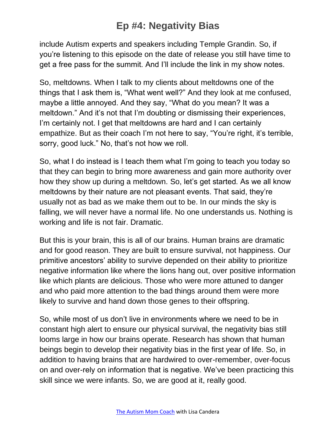include Autism experts and speakers including Temple Grandin. So, if you're listening to this episode on the date of release you still have time to get a free pass for the summit. And I'll include the link in my show notes.

So, meltdowns. When I talk to my clients about meltdowns one of the things that I ask them is, "What went well?" And they look at me confused, maybe a little annoyed. And they say, "What do you mean? It was a meltdown." And it's not that I'm doubting or dismissing their experiences, I'm certainly not. I get that meltdowns are hard and I can certainly empathize. But as their coach I'm not here to say, "You're right, it's terrible, sorry, good luck." No, that's not how we roll.

So, what I do instead is I teach them what I'm going to teach you today so that they can begin to bring more awareness and gain more authority over how they show up during a meltdown. So, let's get started. As we all know meltdowns by their nature are not pleasant events. That said, they're usually not as bad as we make them out to be. In our minds the sky is falling, we will never have a normal life. No one understands us. Nothing is working and life is not fair. Dramatic.

But this is your brain, this is all of our brains. Human brains are dramatic and for good reason. They are built to ensure survival, not happiness. Our primitive ancestors' ability to survive depended on their ability to prioritize negative information like where the lions hang out, over positive information like which plants are delicious. Those who were more attuned to danger and who paid more attention to the bad things around them were more likely to survive and hand down those genes to their offspring.

So, while most of us don't live in environments where we need to be in constant high alert to ensure our physical survival, the negativity bias still looms large in how our brains operate. Research has shown that human beings begin to develop their negativity bias in the first year of life. So, in addition to having brains that are hardwired to over-remember, over-focus on and over-rely on information that is negative. We've been practicing this skill since we were infants. So, we are good at it, really good.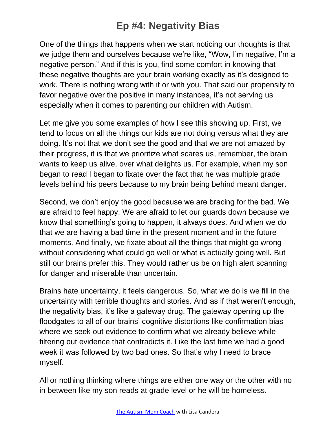One of the things that happens when we start noticing our thoughts is that we judge them and ourselves because we're like, "Wow, I'm negative, I'm a negative person." And if this is you, find some comfort in knowing that these negative thoughts are your brain working exactly as it's designed to work. There is nothing wrong with it or with you. That said our propensity to favor negative over the positive in many instances, it's not serving us especially when it comes to parenting our children with Autism.

Let me give you some examples of how I see this showing up. First, we tend to focus on all the things our kids are not doing versus what they are doing. It's not that we don't see the good and that we are not amazed by their progress, it is that we prioritize what scares us, remember, the brain wants to keep us alive, over what delights us. For example, when my son began to read I began to fixate over the fact that he was multiple grade levels behind his peers because to my brain being behind meant danger.

Second, we don't enjoy the good because we are bracing for the bad. We are afraid to feel happy. We are afraid to let our guards down because we know that something's going to happen, it always does. And when we do that we are having a bad time in the present moment and in the future moments. And finally, we fixate about all the things that might go wrong without considering what could go well or what is actually going well. But still our brains prefer this. They would rather us be on high alert scanning for danger and miserable than uncertain.

Brains hate uncertainty, it feels dangerous. So, what we do is we fill in the uncertainty with terrible thoughts and stories. And as if that weren't enough, the negativity bias, it's like a gateway drug. The gateway opening up the floodgates to all of our brains' cognitive distortions like confirmation bias where we seek out evidence to confirm what we already believe while filtering out evidence that contradicts it. Like the last time we had a good week it was followed by two bad ones. So that's why I need to brace myself.

All or nothing thinking where things are either one way or the other with no in between like my son reads at grade level or he will be homeless.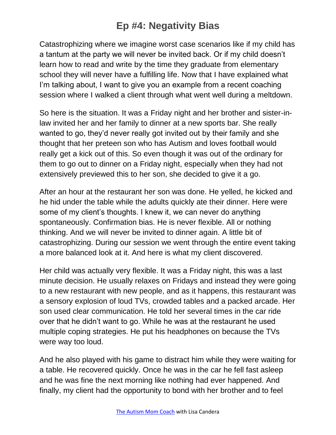Catastrophizing where we imagine worst case scenarios like if my child has a tantum at the party we will never be invited back. Or if my child doesn't learn how to read and write by the time they graduate from elementary school they will never have a fulfilling life. Now that I have explained what I'm talking about, I want to give you an example from a recent coaching session where I walked a client through what went well during a meltdown.

So here is the situation. It was a Friday night and her brother and sister-inlaw invited her and her family to dinner at a new sports bar. She really wanted to go, they'd never really got invited out by their family and she thought that her preteen son who has Autism and loves football would really get a kick out of this. So even though it was out of the ordinary for them to go out to dinner on a Friday night, especially when they had not extensively previewed this to her son, she decided to give it a go.

After an hour at the restaurant her son was done. He yelled, he kicked and he hid under the table while the adults quickly ate their dinner. Here were some of my client's thoughts. I knew it, we can never do anything spontaneously. Confirmation bias. He is never flexible. All or nothing thinking. And we will never be invited to dinner again. A little bit of catastrophizing. During our session we went through the entire event taking a more balanced look at it. And here is what my client discovered.

Her child was actually very flexible. It was a Friday night, this was a last minute decision. He usually relaxes on Fridays and instead they were going to a new restaurant with new people, and as it happens, this restaurant was a sensory explosion of loud TVs, crowded tables and a packed arcade. Her son used clear communication. He told her several times in the car ride over that he didn't want to go. While he was at the restaurant he used multiple coping strategies. He put his headphones on because the TVs were way too loud.

And he also played with his game to distract him while they were waiting for a table. He recovered quickly. Once he was in the car he fell fast asleep and he was fine the next morning like nothing had ever happened. And finally, my client had the opportunity to bond with her brother and to feel